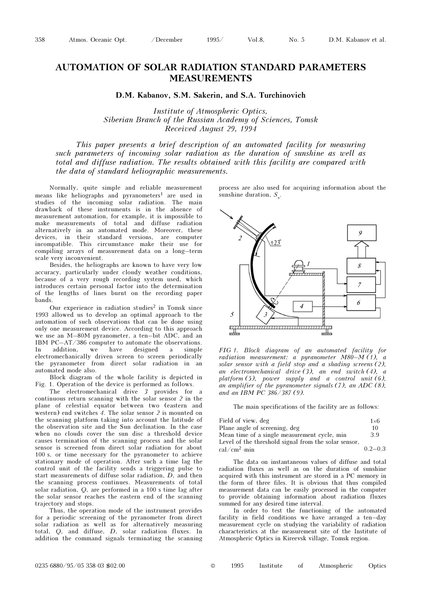## AUTOMATION OF SOLAR RADIATION STANDARD PARAMETERS MEASUREMENTS

D.M. Kabanov, S.M. Sakerin, and S.A. Turchinovich

Institute of Atmospheric Optics, Siberian Branch of the Russian Academy of Sciences, Tomsk Received August 29, 1994

This paper presents a brief description of an automated facility for measuring such parameters of incoming solar radiation as the duration of sunshine as well as total and diffuse radiation. The results obtained with this facility are compared with the data of standard heliographic measurements.

Normally, quite simple and reliable measurement means like heliographs and pyranometers<sup>1</sup> are used in studies of the incoming solar radiation. The main drawback of these instruments is in the absence of measurement automation, for example, it is impossible to make measurements of total and diffuse radiation alternatively in an automated mode. Moreover, these devices, in their standard versions, are computer incompatible. This circumstance make their use for compiling arrays of measurement data on a long–term scale very inconvenient.

Besides, the heliographs are known to have very low accuracy, particularly under cloudy weather conditions, because of a very rough recording system used, which introduces certain personal factor into the determination of the lengths of lines burnt on the recording paper bands.

Our experience in radiation studies<sup>2</sup> in Tomsk since 1993 allowed us to develop an optimal approach to the automation of such observations that can be done using only one measurement device. According to this approach we use an M–80M pyranometer, a ten–bit ADC, and an IBM PC–AT/386 computer to automate the observations. In addition, we have designed a simple electromechanically driven screen to screen periodically the pyranometer from direct solar radiation in an automated mode also.

Block diagram of the whole facility is depicted in Fig. 1. Operation of the device is performed as follows.

The electromechanical drive 3 provides for a continuous return scanning with the solar sensor 2 in the plane of celestial equator between two (eastern and western) end switches 4. The solar sensor 2 is mounted on the scanning platform taking into account the latitude of the observation site and the Sun declination. In the case when no clouds cover the sun disc a threshold device causes termination of the scanning process and the solar sensor is screened from direct solar radiation for about 100 s, or time necessary for the pyranometer to achieve stationary mode of operation. After such a time lag the control unit of the facility sends a triggering pulse to start measurements of diffuse solar radiation, D, and then the scanning process continues. Measurements of total solar radiation, Q, are performed in a 100 s time lag after the solar sensor reaches the eastern end of the scanning trajectory and stops.

Thus, the operation mode of the instrument provides for a periodic screening of the pyranometer from direct solar radiation as well as for alternatively measuring total, Q, and diffuse, D, solar radiation fluxes. In addition the command signals terminating the scanning process are also used for acquiring information about the sunshine duration,  $S_{\rm s}$ .



FIG 1. Block diagram of an automated facility for radiation measurement: a pyranometer  $M80-M(1)$ , a solar sensor with a field stop and a shading screens (2), an electromechanical drive (3), an end switch (4), a platform  $(5)$ , power supply and a control unit  $(6)$ , an amplifier of the pyranometer signals (7), an ADC (8), and an IBM PC  $386/387(9)$ .

The main specifications of the facility are as follows:

| Field of view, deg                                   | $1\times 6$ |
|------------------------------------------------------|-------------|
| Plane angle of screening, deg                        | 10          |
| Mean time of a single measurement cycle, min         | 39          |
| Level of the threshold signal from the solar sensor, |             |
| $cal/cm2 \cdot min$                                  | $0.2 - 0.3$ |

The data on instantaneous values of diffuse and total radiation fluxes as well as on the duration of sunshine acquired with this instrument are stored in a PC memory in the form of three files. It is obvious that thus compiled measurement data can be easily processed in the computer to provide obtaining information about radiation fluxes summed for any desired time interval.

In order to test the functioning of the automated facility in field conditions we have arranged a ten–day measurement cycle on studying the variability of radiation characteristics at the measurement site of the Institute of Atmospheric Optics in Kireevsk village, Tomsk region.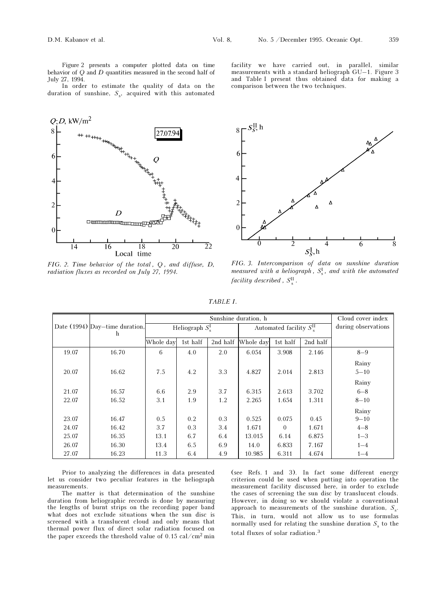Figure 2 presents a computer plotted data on time behavior of Q and D quantities measured in the second half of July 27, 1994.

In order to estimate the quality of data on the duration of sunshine,  $S_s$ , acquired with this automated



FIG. 2. Time behavior of the total, Q, and diffuse, D, radiation fluxes as recorded on July 27, 1994.

facility we have carried out, in parallel, similar measurements with a standard heliograph GU–1. Figure 3 and Table I present thus obtained data for making a comparison between the two techniques.



FIG. 3. Intercomparison of data on sunshine duration measured with a heliograph,  $S_{\rm s}^{\rm I}$ , and with the automated facility described,  $S_{\rm s}^{\rm II}$ .

| ,<br>u |  |
|--------|--|

|                                  |       | Sunshine duration, h   |          |                                 |           |          | Cloud cover index   |          |
|----------------------------------|-------|------------------------|----------|---------------------------------|-----------|----------|---------------------|----------|
| Date $(1994)$ Day-time duration, |       | Heliograph $S_{s}^{I}$ |          | Automated facility $S_{s}^{II}$ |           |          | during observations |          |
|                                  | h     |                        |          |                                 |           |          |                     |          |
|                                  |       | Whole day              | 1st half | 2nd half                        | Whole day | 1st half | 2nd half            |          |
| 19.07                            | 16.70 | 6                      | 4.0      | 2.0                             | 6.054     | 3.908    | 2.146               | $8 - 9$  |
|                                  |       |                        |          |                                 |           |          |                     | Rainy    |
| 20.07                            | 16.62 | 7.5                    | 4.2      | 3.3                             | 4.827     | 2.014    | 2.813               | $5 - 10$ |
|                                  |       |                        |          |                                 |           |          |                     | Rainy    |
| 21.07                            | 16.57 | 6.6                    | 2.9      | 3.7                             | 6.315     | 2.613    | 3.702               | $6 - 8$  |
| 22.07                            | 16.52 | 3.1                    | 1.9      | 1.2                             | 2.265     | 1.654    | 1.311               | $8 - 10$ |
|                                  |       |                        |          |                                 |           |          |                     | Rainy    |
| 23.07                            | 16.47 | 0.5                    | 0.2      | 0.3                             | 0.525     | 0.075    | 0.45                | $9 - 10$ |
| 24.07                            | 16.42 | 3.7                    | 0.3      | 3.4                             | 1.671     | $\Omega$ | 1.671               | $4 - 8$  |
| 25.07                            | 16.35 | 13.1                   | 6.7      | 6.4                             | 13.015    | 6.14     | 6.875               | $1 - 3$  |
| 26.07                            | 16.30 | 13.4                   | 6.5      | 6.9                             | 14.0      | 6.833    | 7.167               | $1 - 4$  |
| 27.07                            | 16.23 | 11.3                   | 6.4      | 4.9                             | 10.985    | 6.311    | 4.674               | $1 - 4$  |

Prior to analyzing the differences in data presented let us consider two peculiar features in the heliograph measurements.

The matter is that determination of the sunshine duration from heliographic records is done by measuring the lengths of burnt strips on the recording paper band what does not exclude situations when the sun disc is screened with a translucent cloud and only means that thermal power flux of direct solar radiation focused on the paper exceeds the threshold value of  $0.15 \text{ cal/cm}^2 \text{ min}$ 

(see Refs. 1 and 3). In fact some different energy criterion could be used when putting into operation the measurement facility discussed here, in order to exclude the cases of screening the sun disc by translucent clouds. However, in doing so we should violate a conventional approach to measurements of the sunshine duration,  $S_{\rm s}$ . This, in turn, would not allow us to use formulas normally used for relating the sunshine duration  $S_{\rm s}$  to the total fluxes of solar radiation.<sup>3</sup>